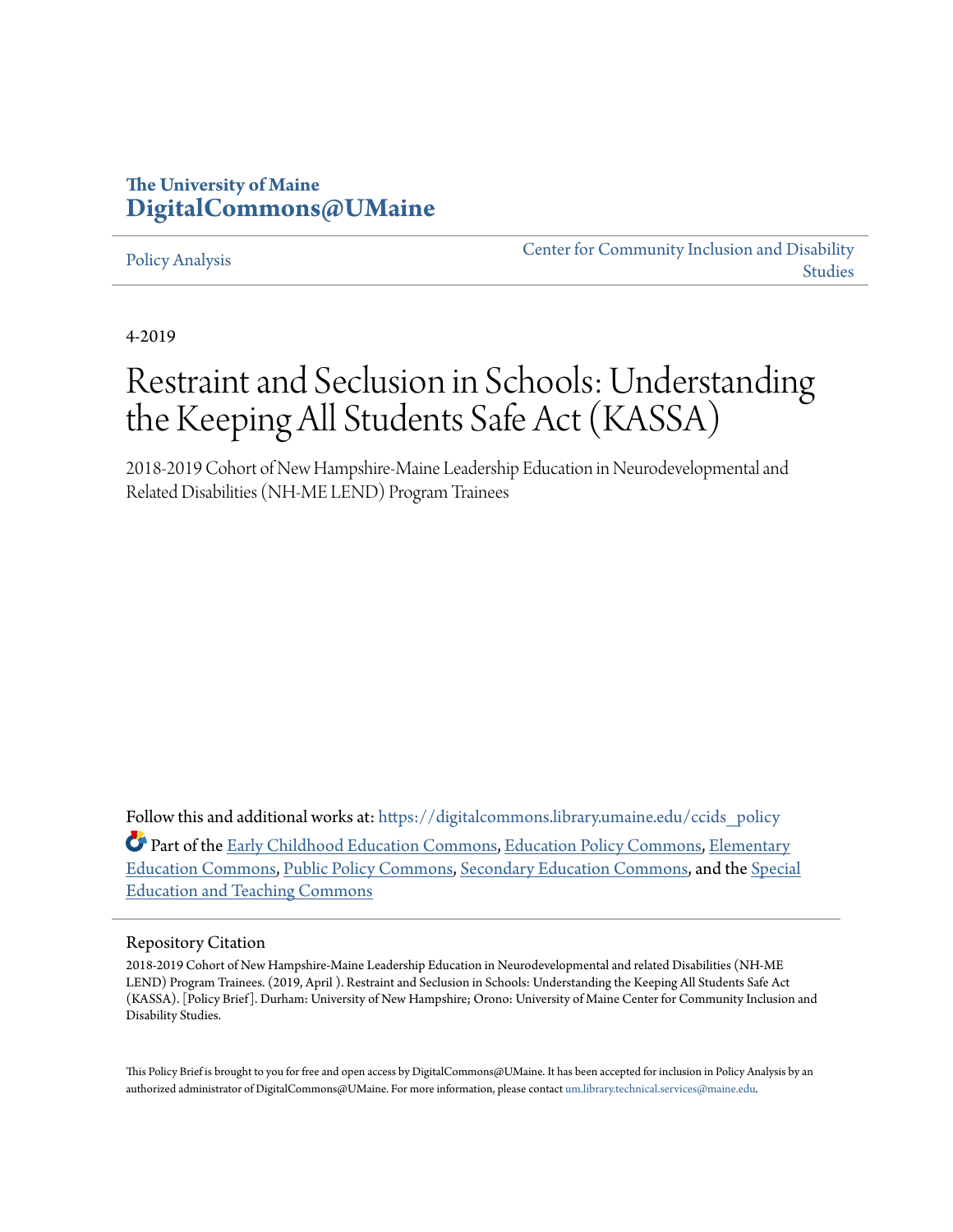### **The University of Maine [DigitalCommons@UMaine](https://digitalcommons.library.umaine.edu?utm_source=digitalcommons.library.umaine.edu%2Fccids_policy%2F7&utm_medium=PDF&utm_campaign=PDFCoverPages)**

#### [Policy Analysis](https://digitalcommons.library.umaine.edu/ccids_policy?utm_source=digitalcommons.library.umaine.edu%2Fccids_policy%2F7&utm_medium=PDF&utm_campaign=PDFCoverPages)

[Center for Community Inclusion and Disability](https://digitalcommons.library.umaine.edu/ccids?utm_source=digitalcommons.library.umaine.edu%2Fccids_policy%2F7&utm_medium=PDF&utm_campaign=PDFCoverPages) [Studies](https://digitalcommons.library.umaine.edu/ccids?utm_source=digitalcommons.library.umaine.edu%2Fccids_policy%2F7&utm_medium=PDF&utm_campaign=PDFCoverPages)

4-2019

# Restraint and Seclusion in Schools: Understanding the Keeping All Students Safe Act (KASSA)

2018-2019 Cohort of New Hampshire-Maine Leadership Education in Neurodevelopmental and Related Disabilities (NH-ME LEND) Program Trainees

Follow this and additional works at: [https://digitalcommons.library.umaine.edu/ccids\\_policy](https://digitalcommons.library.umaine.edu/ccids_policy?utm_source=digitalcommons.library.umaine.edu%2Fccids_policy%2F7&utm_medium=PDF&utm_campaign=PDFCoverPages) Part of the [Early Childhood Education Commons,](http://network.bepress.com/hgg/discipline/1377?utm_source=digitalcommons.library.umaine.edu%2Fccids_policy%2F7&utm_medium=PDF&utm_campaign=PDFCoverPages) [Education Policy Commons,](http://network.bepress.com/hgg/discipline/1026?utm_source=digitalcommons.library.umaine.edu%2Fccids_policy%2F7&utm_medium=PDF&utm_campaign=PDFCoverPages) [Elementary](http://network.bepress.com/hgg/discipline/1378?utm_source=digitalcommons.library.umaine.edu%2Fccids_policy%2F7&utm_medium=PDF&utm_campaign=PDFCoverPages) [Education Commons](http://network.bepress.com/hgg/discipline/1378?utm_source=digitalcommons.library.umaine.edu%2Fccids_policy%2F7&utm_medium=PDF&utm_campaign=PDFCoverPages), [Public Policy Commons](http://network.bepress.com/hgg/discipline/400?utm_source=digitalcommons.library.umaine.edu%2Fccids_policy%2F7&utm_medium=PDF&utm_campaign=PDFCoverPages), [Secondary Education Commons](http://network.bepress.com/hgg/discipline/1382?utm_source=digitalcommons.library.umaine.edu%2Fccids_policy%2F7&utm_medium=PDF&utm_campaign=PDFCoverPages), and the [Special](http://network.bepress.com/hgg/discipline/801?utm_source=digitalcommons.library.umaine.edu%2Fccids_policy%2F7&utm_medium=PDF&utm_campaign=PDFCoverPages) [Education and Teaching Commons](http://network.bepress.com/hgg/discipline/801?utm_source=digitalcommons.library.umaine.edu%2Fccids_policy%2F7&utm_medium=PDF&utm_campaign=PDFCoverPages)

#### Repository Citation

2018-2019 Cohort of New Hampshire-Maine Leadership Education in Neurodevelopmental and related Disabilities (NH-ME LEND) Program Trainees. (2019, April ). Restraint and Seclusion in Schools: Understanding the Keeping All Students Safe Act (KASSA). [Policy Brief]. Durham: University of New Hampshire; Orono: University of Maine Center for Community Inclusion and Disability Studies.

This Policy Brief is brought to you for free and open access by DigitalCommons@UMaine. It has been accepted for inclusion in Policy Analysis by an authorized administrator of DigitalCommons@UMaine. For more information, please contact [um.library.technical.services@maine.edu.](mailto:um.library.technical.services@maine.edu)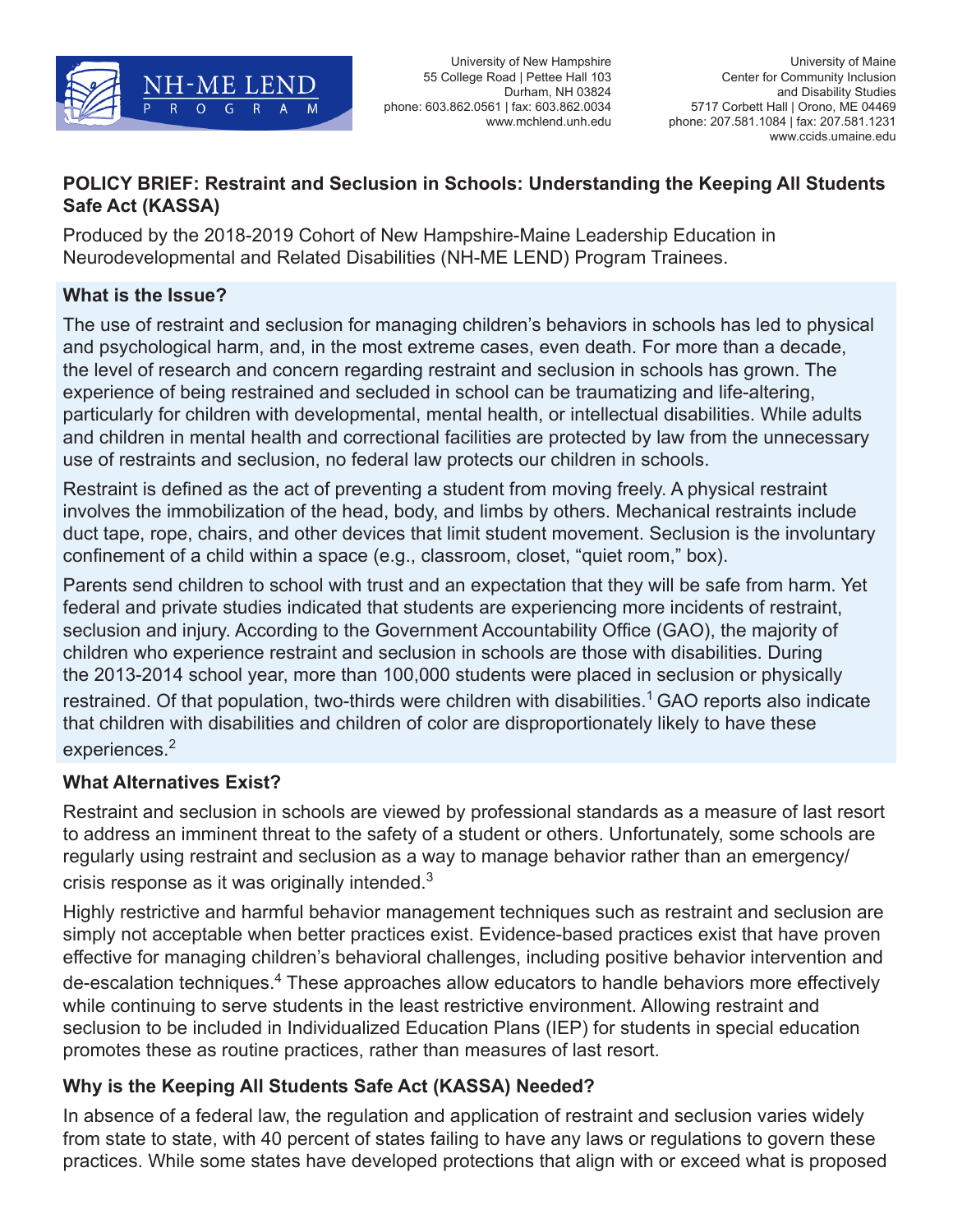

University of New Hampshire 55 College Road | Pettee Hall 103 Durham, NH 03824 phone: 603.862.0561 | fax: 603.862.0034 www.mchlend.unh.edu

### **POLICY BRIEF: Restraint and Seclusion in Schools: Understanding the Keeping All Students Safe Act (KASSA)**

Produced by the 2018-2019 Cohort of New Hampshire-Maine Leadership Education in Neurodevelopmental and Related Disabilities (NH-ME LEND) Program Trainees.

#### **What is the Issue?**

The use of restraint and seclusion for managing children's behaviors in schools has led to physical and psychological harm, and, in the most extreme cases, even death. For more than a decade, the level of research and concern regarding restraint and seclusion in schools has grown. The experience of being restrained and secluded in school can be traumatizing and life-altering, particularly for children with developmental, mental health, or intellectual disabilities. While adults and children in mental health and correctional facilities are protected by law from the unnecessary use of restraints and seclusion, no federal law protects our children in schools.

Restraint is defined as the act of preventing a student from moving freely. A physical restraint involves the immobilization of the head, body, and limbs by others. Mechanical restraints include duct tape, rope, chairs, and other devices that limit student movement. Seclusion is the involuntary confinement of a child within a space (e.g., classroom, closet, "quiet room," box).

Parents send children to school with trust and an expectation that they will be safe from harm. Yet federal and private studies indicated that students are experiencing more incidents of restraint, seclusion and injury. According to the Government Accountability Office (GAO), the majority of children who experience restraint and seclusion in schools are those with disabilities. During the 2013-2014 school year, more than 100,000 students were placed in seclusion or physically restrained. Of that population, two-thirds were children with disabilities.<sup>1</sup> GAO reports also indicate that children with disabilities and children of color are disproportionately likely to have these experiences.<sup>2</sup>

## **What Alternatives Exist?**

Restraint and seclusion in schools are viewed by professional standards as a measure of last resort to address an imminent threat to the safety of a student or others. Unfortunately, some schools are regularly using restraint and seclusion as a way to manage behavior rather than an emergency/ crisis response as it was originally intended. $3$ 

Highly restrictive and harmful behavior management techniques such as restraint and seclusion are simply not acceptable when better practices exist. Evidence-based practices exist that have proven effective for managing children's behavioral challenges, including positive behavior intervention and de-escalation techniques.<sup>4</sup> These approaches allow educators to handle behaviors more effectively while continuing to serve students in the least restrictive environment. Allowing restraint and seclusion to be included in Individualized Education Plans (IEP) for students in special education promotes these as routine practices, rather than measures of last resort.

## **Why is the Keeping All Students Safe Act (KASSA) Needed?**

In absence of a federal law, the regulation and application of restraint and seclusion varies widely from state to state, with 40 percent of states failing to have any laws or regulations to govern these practices. While some states have developed protections that align with or exceed what is proposed